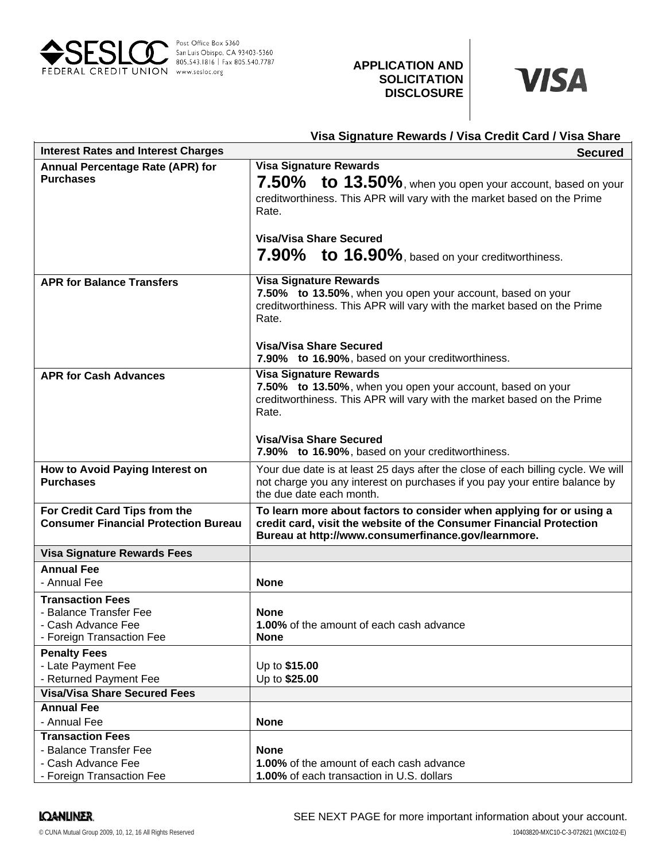

# **APPLICATION AND SOLICITATION DISCLOSURE**



| Visa Signature Rewards / Visa Credit Card / Visa Share       |                                                                                             |
|--------------------------------------------------------------|---------------------------------------------------------------------------------------------|
| <b>Interest Rates and Interest Charges</b><br><b>Secured</b> |                                                                                             |
| <b>Annual Percentage Rate (APR) for</b>                      | <b>Visa Signature Rewards</b>                                                               |
| <b>Purchases</b>                                             | 7.50% to 13.50%, when you open your account, based on your                                  |
|                                                              | creditworthiness. This APR will vary with the market based on the Prime                     |
|                                                              | Rate.                                                                                       |
|                                                              |                                                                                             |
|                                                              | <b>Visa/Visa Share Secured</b>                                                              |
|                                                              | 7.90% to 16.90%, based on your creditworthiness.                                            |
|                                                              |                                                                                             |
| <b>APR for Balance Transfers</b>                             | <b>Visa Signature Rewards</b><br>7.50% to 13.50%, when you open your account, based on your |
|                                                              | creditworthiness. This APR will vary with the market based on the Prime                     |
|                                                              | Rate.                                                                                       |
|                                                              |                                                                                             |
|                                                              | <b>Visa/Visa Share Secured</b>                                                              |
|                                                              | 7.90% to 16.90%, based on your creditworthiness.                                            |
| <b>APR for Cash Advances</b>                                 | <b>Visa Signature Rewards</b>                                                               |
|                                                              | 7.50% to 13.50%, when you open your account, based on your                                  |
|                                                              | creditworthiness. This APR will vary with the market based on the Prime<br>Rate.            |
|                                                              |                                                                                             |
|                                                              | <b>Visa/Visa Share Secured</b>                                                              |
|                                                              | 7.90% to 16.90%, based on your creditworthiness.                                            |
| How to Avoid Paying Interest on                              | Your due date is at least 25 days after the close of each billing cycle. We will            |
| <b>Purchases</b>                                             | not charge you any interest on purchases if you pay your entire balance by                  |
|                                                              | the due date each month.                                                                    |
| For Credit Card Tips from the                                | To learn more about factors to consider when applying for or using a                        |
| <b>Consumer Financial Protection Bureau</b>                  | credit card, visit the website of the Consumer Financial Protection                         |
|                                                              | Bureau at http://www.consumerfinance.gov/learnmore.                                         |
| <b>Visa Signature Rewards Fees</b>                           |                                                                                             |
| <b>Annual Fee</b>                                            |                                                                                             |
| - Annual Fee                                                 | <b>None</b>                                                                                 |
| <b>Transaction Fees</b>                                      |                                                                                             |
| - Balance Transfer Fee<br>- Cash Advance Fee                 | <b>None</b><br>1.00% of the amount of each cash advance                                     |
| - Foreign Transaction Fee                                    | <b>None</b>                                                                                 |
| <b>Penalty Fees</b>                                          |                                                                                             |
| - Late Payment Fee                                           | Up to \$15.00                                                                               |
| - Returned Payment Fee                                       | Up to \$25.00                                                                               |
| <b>Visa/Visa Share Secured Fees</b>                          |                                                                                             |
| <b>Annual Fee</b>                                            |                                                                                             |
| - Annual Fee                                                 | <b>None</b>                                                                                 |
| <b>Transaction Fees</b>                                      |                                                                                             |
| - Balance Transfer Fee                                       | <b>None</b>                                                                                 |
| - Cash Advance Fee                                           | 1.00% of the amount of each cash advance<br>1.00% of each transaction in U.S. dollars       |
| - Foreign Transaction Fee                                    |                                                                                             |

## **IQANLINER**